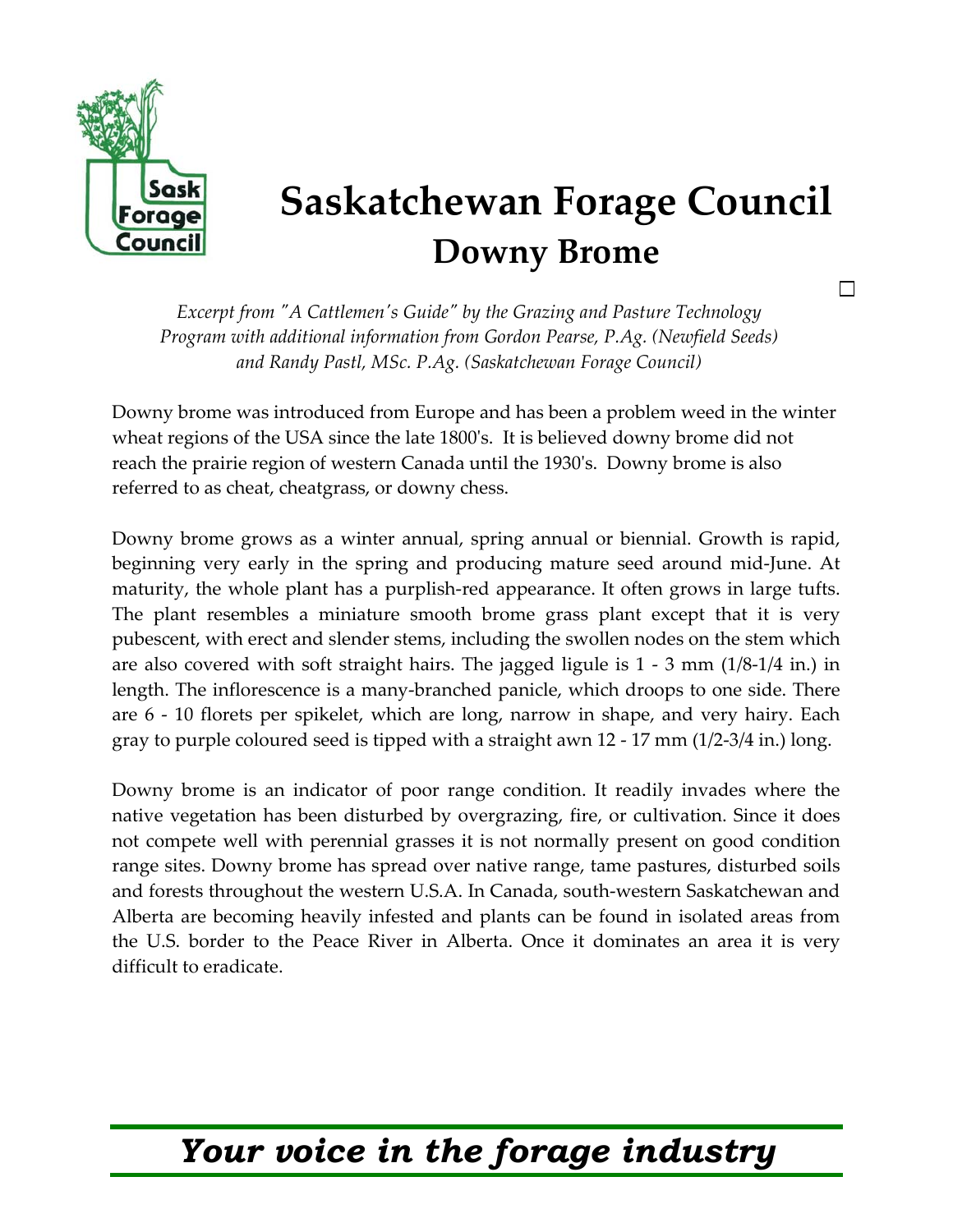

## **Saskatchewan Forage Council Downy Brome**

П

*Excerpt from ʺA Cattlemenʹs Guideʺ by the Grazing and Pasture Technology Program with additional information from Gordon Pearse, P.Ag. (Newfield Seeds) and Randy Pastl, MSc. P.Ag. (Saskatchewan Forage Council)* 

Downy brome was introduced from Europe and has been a problem weed in the winter wheat regions of the USA since the late 1800ʹs. It is believed downy brome did not reach the prairie region of western Canada until the 1930ʹs. Downy brome is also referred to as cheat, cheatgrass, or downy chess.

Downy brome grows as a winter annual, spring annual or biennial. Growth is rapid, beginning very early in the spring and producing mature seed around mid-June. At maturity, the whole plant has a purplish-red appearance. It often grows in large tufts. The plant resembles a miniature smooth brome grass plant except that it is very pubescent, with erect and slender stems, including the swollen nodes on the stem which are also covered with soft straight hairs. The jagged ligule is 1 - 3 mm (1/8-1/4 in.) in length. The inflorescence is a many-branched panicle, which droops to one side. There are 6 - 10 florets per spikelet, which are long, narrow in shape, and very hairy. Each gray to purple coloured seed is tipped with a straight awn 12 - 17 mm (1/2-3/4 in.) long.

Downy brome is an indicator of poor range condition. It readily invades where the native vegetation has been disturbed by overgrazing, fire, or cultivation. Since it does not compete well with perennial grasses it is not normally present on good condition range sites. Downy brome has spread over native range, tame pastures, disturbed soils and forests throughout the western U.S.A. In Canada, south-western Saskatchewan and Alberta are becoming heavily infested and plants can be found in isolated areas from the U.S. border to the Peace River in Alberta. Once it dominates an area it is very difficult to eradicate.

## *Your voice in the forage industry*